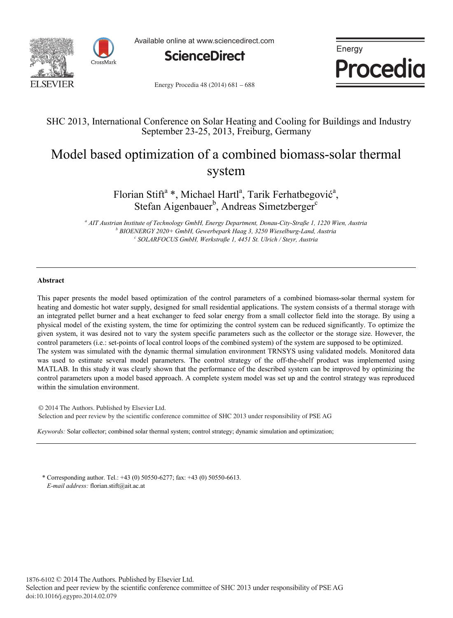



Available online at www.sciencedirect.com



Energy Procedia

Energy Procedia 48 (2014) 681 - 688

# SHC 2013, International Conference on Solar Heating and Cooling for Buildings and Industry September 23-25, 2013, Freiburg, Germany

# Model based optimization of a combined biomass-solar thermal system

Florian Stift<sup>a</sup> \*, Michael Hartl<sup>a</sup>, Tarik Ferhatbegović<sup>a</sup>, Stefan Aigenbauer<sup>b</sup>, Andreas Simetzberger<sup>c</sup>

*<sup>a</sup> AIT Austrian Institute of Technology GmbH, Energy Department, Donau-City-Straße 1, 1220 Wien, Austria <sup>b</sup> BIOENERGY 2020+ GmbH, Gewerbepark Haag 3, 3250 Wieselburg-Land, Austria <sup>c</sup> SOLARFOCUS GmbH, Werkstraße 1, 4451 St. Ulrich / Steyr, Austria*

# **Abstract**

This paper presents the model based optimization of the control parameters of a combined biomass-solar thermal system for heating and domestic hot water supply, designed for small residential applications. The system consists of a thermal storage with an integrated pellet burner and a heat exchanger to feed solar energy from a small collector field into the storage. By using a physical model of the existing system, the time for optimizing the control system can be reduced significantly. To optimize the given system, it was desired not to vary the system specific parameters such as the collector or the storage size. However, the control parameters (i.e.: set-points of local control loops of the combined system) of the system are supposed to be optimized. The system was simulated with the dynamic thermal simulation environment TRNSYS using validated models. Monitored data was used to estimate several model parameters. The control strategy of the off-the-shelf product was implemented using MATLAB. In this study it was clearly shown that the performance of the described system can be improved by optimizing the control parameters upon a model based approach. A complete system model was set up and the control strategy was reproduced within the simulation environment.

© 2014 The Authors. Published by Elsevier Ltd. © 2014 The Authors. Published by Elsevier Ltd. Selection and peer review by the scientific conference committee of SHC 2013 under responsibility of PSE AG.

*Keywords:* Solar collector; combined solar thermal system; control strategy; dynamic simulation and optimization;

\* Corresponding author. Tel.: +43 (0) 50550-6277; fax: +43 (0) 50550-6613. *E-mail address:* florian.stift@ait.ac.at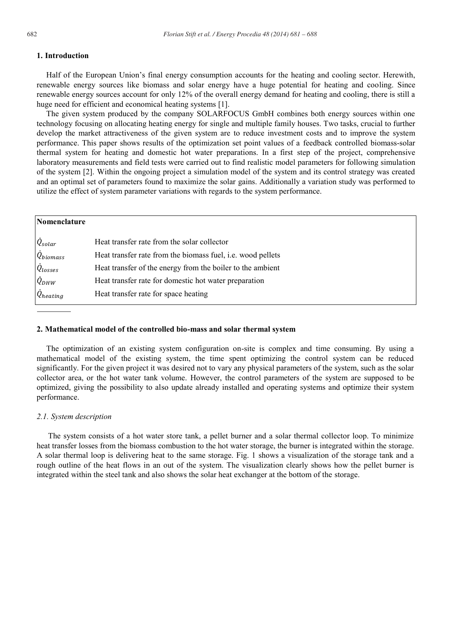# **1. Introduction**

Half of the European Union's final energy consumption accounts for the heating and cooling sector. Herewith, renewable energy sources like biomass and solar energy have a huge potential for heating and cooling. Since renewable energy sources account for only 12% of the overall energy demand for heating and cooling, there is still a huge need for efficient and economical heating systems [1].

The given system produced by the company SOLARFOCUS GmbH combines both energy sources within one technology focusing on allocating heating energy for single and multiple family houses. Two tasks, crucial to further develop the market attractiveness of the given system are to reduce investment costs and to improve the system performance. This paper shows results of the optimization set point values of a feedback controlled biomass-solar thermal system for heating and domestic hot water preparations. In a first step of the project, comprehensive laboratory measurements and field tests were carried out to find realistic model parameters for following simulation of the system [2]. Within the ongoing project a simulation model of the system and its control strategy was created and an optimal set of parameters found to maximize the solar gains. Additionally a variation study was performed to utilize the effect of system parameter variations with regards to the system performance.

| Nomenclature        |                                                                    |
|---------------------|--------------------------------------------------------------------|
| $\dot{Q}_{solar}$   | Heat transfer rate from the solar collector                        |
| $\dot{Q}_{biomass}$ | Heat transfer rate from the biomass fuel, <i>i.e.</i> wood pellets |
| $\dot{Q}_{losses}$  | Heat transfer of the energy from the boiler to the ambient         |
| $\dot{Q}_{DHW}$     | Heat transfer rate for domestic hot water preparation              |
| $\dot{Q}_{heating}$ | Heat transfer rate for space heating                               |

#### **2. Mathematical model of the controlled bio-mass and solar thermal system**

The optimization of an existing system configuration on-site is complex and time consuming. By using a mathematical model of the existing system, the time spent optimizing the control system can be reduced significantly. For the given project it was desired not to vary any physical parameters of the system, such as the solar collector area, or the hot water tank volume. However, the control parameters of the system are supposed to be optimized, giving the possibility to also update already installed and operating systems and optimize their system performance.

#### *2.1. System description*

The system consists of a hot water store tank, a pellet burner and a solar thermal collector loop. To minimize heat transfer losses from the biomass combustion to the hot water storage, the burner is integrated within the storage. A solar thermal loop is delivering heat to the same storage. Fig. 1 shows a visualization of the storage tank and a rough outline of the heat flows in an out of the system. The visualization clearly shows how the pellet burner is integrated within the steel tank and also shows the solar heat exchanger at the bottom of the storage.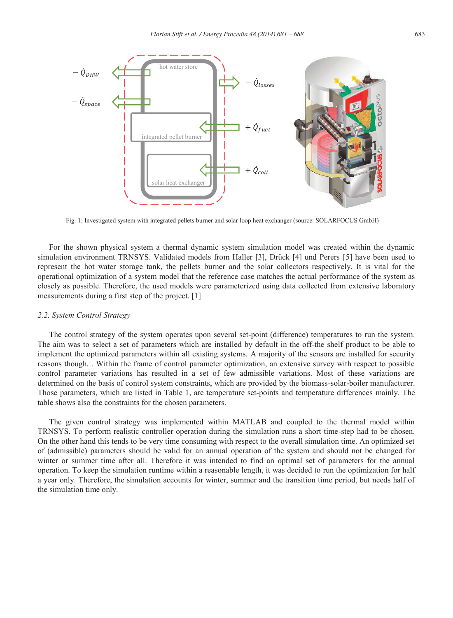

Fig. 1: Investigated system with integrated pellets burner and solar loop heat exchanger (source: SOLARFOCUS GmbH)

For the shown physical system a thermal dynamic system simulation model was created within the dynamic simulation environment TRNSYS. Validated models from Haller [3], Drück [4] und Perers [5] have been used to represent the hot water storage tank, the pellets burner and the solar collectors respectively. It is vital for the operational optimization of a system model that the reference case matches the actual performance of the system as closely as possible. Therefore, the used models were parameterized using data collected from extensive laboratory measurements during a first step of the project. [1]

#### *2.2. System Control Strategy*

The control strategy of the system operates upon several set-point (difference) temperatures to run the system. The aim was to select a set of parameters which are installed by default in the off-the shelf product to be able to implement the optimized parameters within all existing systems. A majority of the sensors are installed for security reasons though. . Within the frame of control parameter optimization, an extensive survey with respect to possible control parameter variations has resulted in a set of few admissible variations. Most of these variations are determined on the basis of control system constraints, which are provided by the biomass-solar-boiler manufacturer. Those parameters, which are listed in Table 1, are temperature set-points and temperature differences mainly. The table shows also the constraints for the chosen parameters.

The given control strategy was implemented within MATLAB and coupled to the thermal model within TRNSYS. To perform realistic controller operation during the simulation runs a short time-step had to be chosen. On the other hand this tends to be very time consuming with respect to the overall simulation time. An optimized set of (admissible) parameters should be valid for an annual operation of the system and should not be changed for winter or summer time after all. Therefore it was intended to find an optimal set of parameters for the annual operation. To keep the simulation runtime within a reasonable length, it was decided to run the optimization for half a year only. Therefore, the simulation accounts for winter, summer and the transition time period, but needs half of the simulation time only.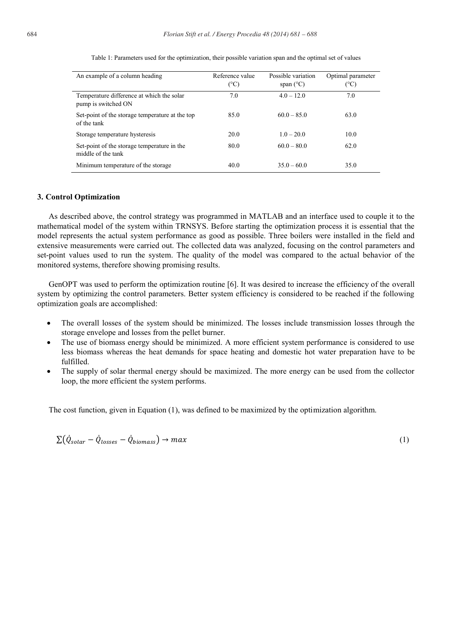| An example of a column heading                                    | Reference value<br>$(^{\circ}C)$ | Possible variation<br>span $(^{\circ}C)$ | Optimal parameter<br>(°C) |
|-------------------------------------------------------------------|----------------------------------|------------------------------------------|---------------------------|
| Temperature difference at which the solar<br>pump is switched ON  | 7.0                              | $4.0 - 12.0$                             | 7.0                       |
| Set-point of the storage temperature at the top<br>of the tank    | 85.0                             | $60.0 - 85.0$                            | 63.0                      |
| Storage temperature hysteresis                                    | 20.0                             | $10 - 200$                               | 10.0                      |
| Set-point of the storage temperature in the<br>middle of the tank | 80.0                             | $60.0 - 80.0$                            | 62.0                      |
| Minimum temperature of the storage                                | 40.0                             | $35.0 - 60.0$                            | 35.0                      |

Table 1: Parameters used for the optimization, their possible variation span and the optimal set of values

#### **3. Control Optimization**

As described above, the control strategy was programmed in MATLAB and an interface used to couple it to the mathematical model of the system within TRNSYS. Before starting the optimization process it is essential that the model represents the actual system performance as good as possible. Three boilers were installed in the field and extensive measurements were carried out. The collected data was analyzed, focusing on the control parameters and set-point values used to run the system. The quality of the model was compared to the actual behavior of the monitored systems, therefore showing promising results.

GenOPT was used to perform the optimization routine [6]. It was desired to increase the efficiency of the overall system by optimizing the control parameters. Better system efficiency is considered to be reached if the following optimization goals are accomplished:

- The overall losses of the system should be minimized. The losses include transmission losses through the storage envelope and losses from the pellet burner.
- The use of biomass energy should be minimized. A more efficient system performance is considered to use less biomass whereas the heat demands for space heating and domestic hot water preparation have to be fulfilled.
- The supply of solar thermal energy should be maximized. The more energy can be used from the collector loop, the more efficient the system performs.

The cost function, given in Equation (1), was defined to be maximized by the optimization algorithm.

 $\Sigma(\dot{Q}_{solar} - \dot{Q}_{losses} - \dot{Q}_{biomass}) \rightarrow max$  (1)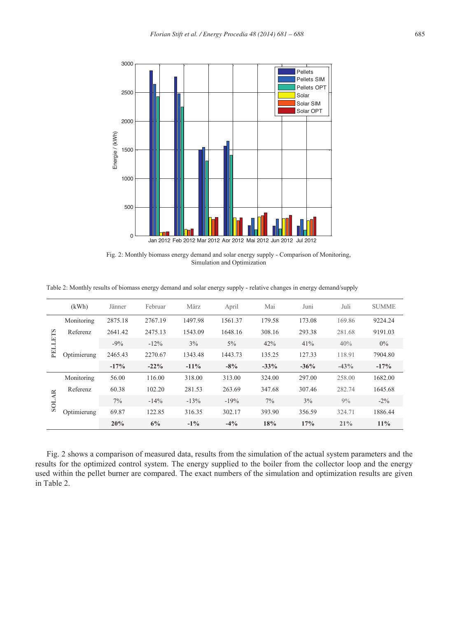

Fig. 2: Monthly biomass energy demand and solar energy supply - Comparison of Monitoring, Simulation and Optimization

| Table 2: Monthly results of biomass energy demand and solar energy supply - relative changes in energy demand/supply |  |  |
|----------------------------------------------------------------------------------------------------------------------|--|--|
|                                                                                                                      |  |  |

|              | (kWh)       | Jänner  | Februar | März    | April   | Mai    | Juni   | Juli   | <b>SUMME</b> |
|--------------|-------------|---------|---------|---------|---------|--------|--------|--------|--------------|
| TS<br>EE     | Monitoring  | 2875.18 | 2767.19 | 1497.98 | 1561.37 | 179.58 | 173.08 | 169.86 | 9224.24      |
|              | Referenz    | 2641.42 | 2475.13 | 1543.09 | 1648.16 | 308.16 | 293.38 | 281.68 | 9191.03      |
|              |             | $-9\%$  | $-12%$  | 3%      | $5\%$   | 42%    | 41%    | 40%    | $0\%$        |
|              | Optimierung | 2465.43 | 2270.67 | 1343.48 | 1443.73 | 135.25 | 127.33 | 118.91 | 7904.80      |
|              |             | $-17%$  | $-22\%$ | $-11\%$ | $-8\%$  | $-33%$ | $-36%$ | $-43%$ | $-17%$       |
| <b>SOLAR</b> | Monitoring  | 56.00   | 116.00  | 318.00  | 313.00  | 324.00 | 297.00 | 258.00 | 1682.00      |
|              | Referenz    | 60.38   | 102.20  | 281.53  | 263.69  | 347.68 | 307.46 | 282.74 | 1645.68      |
|              |             | 7%      | $-14%$  | $-13%$  | $-19%$  | 7%     | 3%     | 9%     | $-2\%$       |
|              | Optimierung | 69.87   | 122.85  | 316.35  | 302.17  | 393.90 | 356.59 | 324.71 | 1886.44      |
|              |             | 20%     | 6%      | $-1\%$  | $-4\%$  | 18%    | 17%    | 21%    | $11\%$       |

Fig. 2 shows a comparison of measured data, results from the simulation of the actual system parameters and the results for the optimized control system. The energy supplied to the boiler from the collector loop and the energy used within the pellet burner are compared. The exact numbers of the simulation and optimization results are given in Table 2.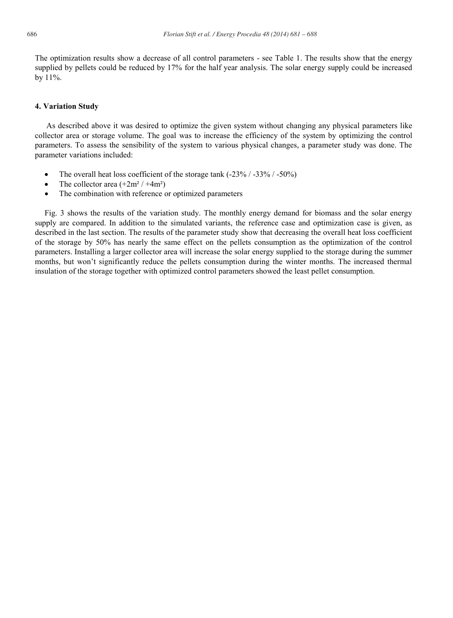The optimization results show a decrease of all control parameters - see Table 1. The results show that the energy supplied by pellets could be reduced by 17% for the half year analysis. The solar energy supply could be increased by 11%.

# **4. Variation Study**

As described above it was desired to optimize the given system without changing any physical parameters like collector area or storage volume. The goal was to increase the efficiency of the system by optimizing the control parameters. To assess the sensibility of the system to various physical changes, a parameter study was done. The parameter variations included:

- The overall heat loss coefficient of the storage tank  $(-23\% / -33\% / -50\%)$
- The collector area  $(+2m^2/ +4m^2)$
- The combination with reference or optimized parameters

Fig. 3 shows the results of the variation study. The monthly energy demand for biomass and the solar energy supply are compared. In addition to the simulated variants, the reference case and optimization case is given, as described in the last section. The results of the parameter study show that decreasing the overall heat loss coefficient of the storage by 50% has nearly the same effect on the pellets consumption as the optimization of the control parameters. Installing a larger collector area will increase the solar energy supplied to the storage during the summer months, but won't significantly reduce the pellets consumption during the winter months. The increased thermal insulation of the storage together with optimized control parameters showed the least pellet consumption.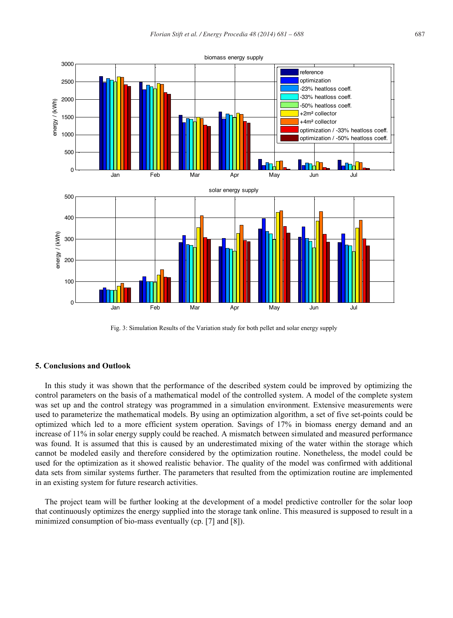

Fig. 3: Simulation Results of the Variation study for both pellet and solar energy supply

#### **5. Conclusions and Outlook**

In this study it was shown that the performance of the described system could be improved by optimizing the control parameters on the basis of a mathematical model of the controlled system. A model of the complete system was set up and the control strategy was programmed in a simulation environment. Extensive measurements were used to parameterize the mathematical models. By using an optimization algorithm, a set of five set-points could be optimized which led to a more efficient system operation. Savings of 17% in biomass energy demand and an increase of 11% in solar energy supply could be reached. A mismatch between simulated and measured performance was found. It is assumed that this is caused by an underestimated mixing of the water within the storage which cannot be modeled easily and therefore considered by the optimization routine. Nonetheless, the model could be used for the optimization as it showed realistic behavior. The quality of the model was confirmed with additional data sets from similar systems further. The parameters that resulted from the optimization routine are implemented in an existing system for future research activities.

The project team will be further looking at the development of a model predictive controller for the solar loop that continuously optimizes the energy supplied into the storage tank online. This measured is supposed to result in a minimized consumption of bio-mass eventually (cp. [7] and [8]).